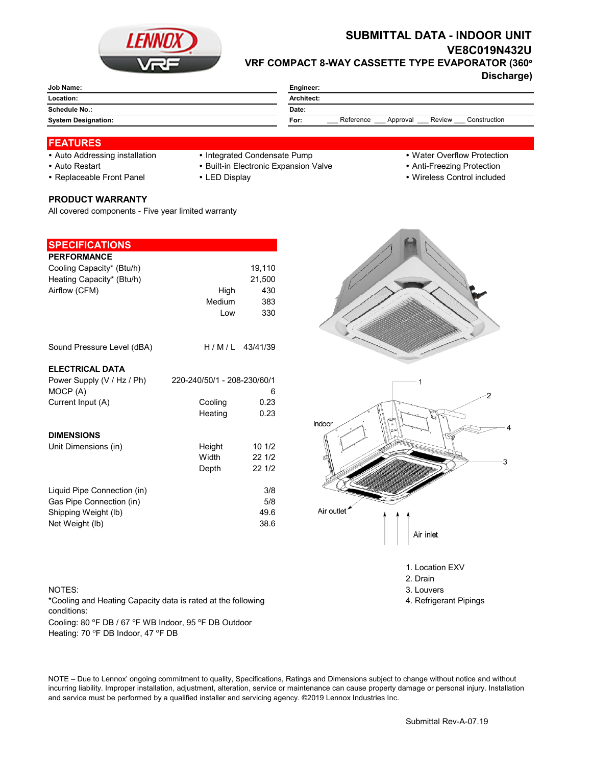

# **SUBMITTAL DATA - INDOOR UNIT VE8C019N432U VRF COMPACT 8-WAY CASSETTE TYPE EVAPORATOR (360°**

**Discharge)**

| Job Name:                  | Engineer:                                               |  |  |
|----------------------------|---------------------------------------------------------|--|--|
| Location:                  | Architect:                                              |  |  |
| Schedule No.:              | Date:                                                   |  |  |
| <b>System Designation:</b> | Reference<br>Review<br>Construction<br>For:<br>Approval |  |  |
|                            |                                                         |  |  |

## **FEATURES**

- Auto Addressing installation Integrated Condensate Pump Water Overflow Protection
	-
- Auto Restart **Built-in Electronic Expansion Valve Anti-Freezing Protection** Anti-Freezing Protection
- Replaceable Front Panel LED Display Wireless Control included

# **PRODUCT WARRANTY**

All covered components - Five year limited warranty

| <b>SPECIFICATIONS</b>       |                             |                  |
|-----------------------------|-----------------------------|------------------|
|                             |                             |                  |
| <b>PERFORMANCE</b>          |                             |                  |
| Cooling Capacity* (Btu/h)   |                             | 19,110           |
| Heating Capacity* (Btu/h)   |                             | 21,500           |
| Airflow (CFM)               | High                        | 430              |
|                             | Medium                      | 383              |
|                             | Low                         | 330              |
|                             |                             |                  |
| Sound Pressure Level (dBA)  |                             | $H/M/L$ 43/41/39 |
|                             |                             |                  |
| <b>ELECTRICAL DATA</b>      |                             |                  |
| Power Supply (V / Hz / Ph)  | 220-240/50/1 - 208-230/60/1 |                  |
| MOCP (A)                    |                             | 6                |
| Current Input (A)           | Cooling                     | 0.23             |
|                             | Heating                     | 0.23             |
|                             |                             |                  |
| <b>DIMENSIONS</b>           |                             |                  |
| Unit Dimensions (in)        | Height                      | 101/2            |
|                             | Width                       | 22 1/2           |
|                             | Depth                       | 221/2            |
|                             |                             |                  |
| Liquid Pipe Connection (in) |                             | 3/8              |
| Gas Pipe Connection (in)    |                             | 5/8              |
|                             |                             | 49.6             |
| Shipping Weight (lb)        |                             |                  |
| Net Weight (lb)             |                             | 38.6             |

#### NOTES: 3. Louvers 3. Louvers 3. Louvers 3. Louvers 3. Louvers 3. Louvers 3. Louvers 3. Louvers 3. Louvers 3. Louvers 3. Louvers 3. Louvers 3. Louvers 3. Louvers 3. Louvers 3. Louvers 3. Louvers 3. Louvers 3. Louvers 3. Lou

Cooling: 80 °F DB / 67 °F WB Indoor, 95 °F DB Outdoor Heating: 70 °F DB Indoor, 47 °F DB \*Cooling and Heating Capacity data is rated at the following conditions:

NOTE – Due to Lennox' ongoing commitment to quality, Specifications, Ratings and Dimensions subject to change without notice and without incurring liability. Improper installation, adjustment, alteration, service or maintenance can cause property damage or personal injury. Installation and service must be performed by a qualified installer and servicing agency. ©2019 Lennox Industries Inc.



1. Location EXV

- 2. Drain
- 
- 4. Refrigerant Pipings